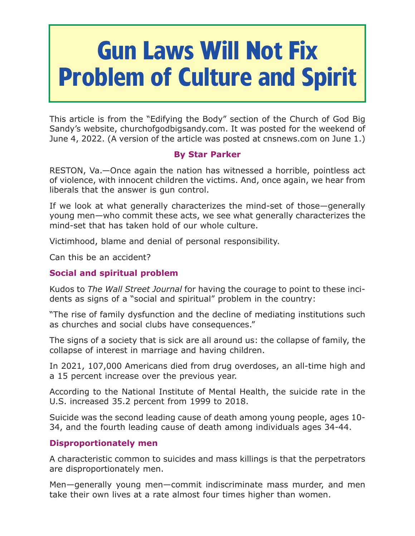# **Gun Laws Will Not Fix Problem of Culture and Spirit**

This article is from the "Edifying the Body" section of the Church of God Big Sandy's website, churchofgodbigsandy.com. It was posted for the weekend of June 4, 2022. (A version of the article was posted at cnsnews.com on June 1.)

## **By Star Parker**

RESTON, Va.—Once again the nation has witnessed a horrible, pointless act of violence, with innocent children the victims. And, once again, we hear from liberals that the answer is gun control.

If we look at what generally characterizes the mind-set of those—generally young men—who commit these acts, we see what generally characterizes the mind-set that has taken hold of our whole culture.

Victimhood, blame and denial of personal responsibility.

Can this be an accident?

## **Social and spiritual problem**

Kudos to *The Wall Street Journal* for having the courage to point to these incidents as signs of a "social and spiritual" problem in the country:

"The rise of family dysfunction and the decline of mediating institutions such as churches and social clubs have consequences."

The signs of a society that is sick are all around us: the collapse of family, the collapse of interest in marriage and having children.

In 2021, 107,000 Americans died from drug overdoses, an all-time high and a 15 percent increase over the previous year.

According to the National Institute of Mental Health, the suicide rate in the U.S. increased 35.2 percent from 1999 to 2018.

Suicide was the second leading cause of death among young people, ages 10- 34, and the fourth leading cause of death among individuals ages 34-44.

## **Disproportionately men**

A characteristic common to suicides and mass killings is that the perpetrators are disproportionately men.

Men—generally young men—commit indiscriminate mass murder, and men take their own lives at a rate almost four times higher than women.